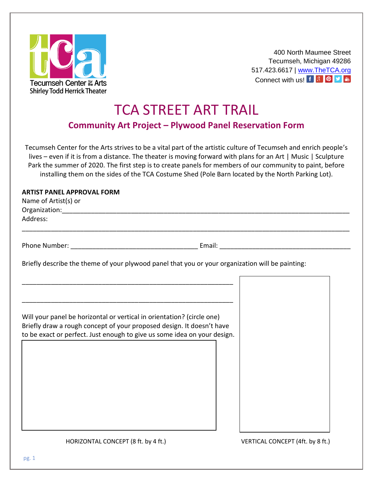

400 North Maumee Street Tecumseh, Michigan 49286 517.423.6617 | [www.TheTCA.org](http://www.thetca.org/) Connectwith us!  $f \sqrt{3}$  <sup>0</sup>

## TCA STREET ART TRAIL

**Community Art Project – Plywood Panel Reservation Form**

Tecumseh Center for the Arts strives to be a vital part of the artistic culture of Tecumseh and enrich people's lives – even if it is from a distance. The theater is moving forward with plans for an Art | Music | Sculpture Park the summer of 2020. The first step is to create panels for members of our community to paint, before installing them on the sides of the TCA Costume Shed (Pole Barn located by the North Parking Lot).

## **ARTIST PANEL APPROVAL FORM**

| Name of Artist(s) or                                                     |                                                                                                                        |  |
|--------------------------------------------------------------------------|------------------------------------------------------------------------------------------------------------------------|--|
|                                                                          |                                                                                                                        |  |
| Address:                                                                 |                                                                                                                        |  |
|                                                                          |                                                                                                                        |  |
|                                                                          |                                                                                                                        |  |
|                                                                          | Briefly describe the theme of your plywood panel that you or your organization will be painting:                       |  |
|                                                                          | <u> 1989 - Johann John Stein, mars ar yw i ganrif y cyfeiriau yn y gynnwys y cyfeiriau ar y gynnwys y cyfeiriau a</u>  |  |
|                                                                          | <u> 1989 - Johann Barn, mars ann an t-Amhainn an t-Amhainn an t-Amhainn an t-Amhainn an t-Amhainn an t-Amhainn an </u> |  |
| Will your panel be horizontal or vertical in orientation? (circle one)   |                                                                                                                        |  |
| Briefly draw a rough concept of your proposed design. It doesn't have    |                                                                                                                        |  |
| to be exact or perfect. Just enough to give us some idea on your design. |                                                                                                                        |  |
|                                                                          |                                                                                                                        |  |
|                                                                          |                                                                                                                        |  |
|                                                                          |                                                                                                                        |  |
|                                                                          |                                                                                                                        |  |
|                                                                          |                                                                                                                        |  |
|                                                                          |                                                                                                                        |  |
|                                                                          |                                                                                                                        |  |
|                                                                          |                                                                                                                        |  |
|                                                                          |                                                                                                                        |  |
|                                                                          |                                                                                                                        |  |

HORIZONTAL CONCEPT (8 ft. by 4 ft.) VERTICAL CONCEPT (4ft. by 8 ft.)